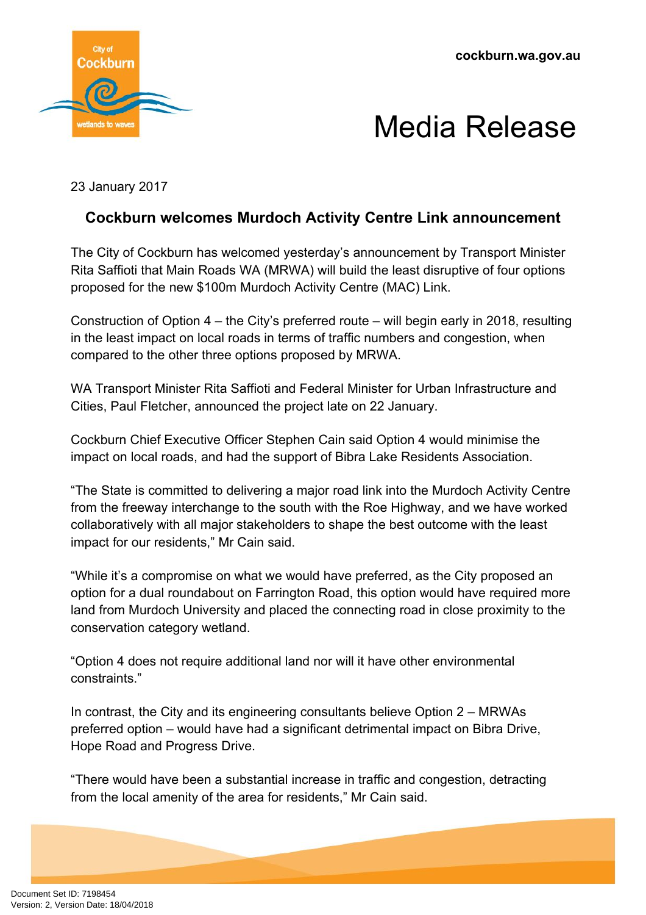**cockburn.wa.gov.au**





23 January 2017

## **Cockburn welcomes Murdoch Activity Centre Link announcement**

The City of Cockburn has welcomed yesterday's announcement by Transport Minister Rita Saffioti that Main Roads WA (MRWA) will build the least disruptive of four options proposed for the new \$100m Murdoch Activity Centre (MAC) Link.

Construction of Option 4 – the City's preferred route – will begin early in 2018, resulting in the least impact on local roads in terms of traffic numbers and congestion, when compared to the other three options proposed by MRWA.

WA Transport Minister Rita Saffioti and Federal Minister for Urban Infrastructure and Cities, Paul Fletcher, announced the project late on 22 January.

Cockburn Chief Executive Officer Stephen Cain said Option 4 would minimise the impact on local roads, and had the support of Bibra Lake Residents Association.

"The State is committed to delivering a major road link into the Murdoch Activity Centre from the freeway interchange to the south with the Roe Highway, and we have worked collaboratively with all major stakeholders to shape the best outcome with the least impact for our residents," Mr Cain said.

"While it's a compromise on what we would have preferred, as the City proposed an option for a dual roundabout on Farrington Road, this option would have required more land from Murdoch University and placed the connecting road in close proximity to the conservation category wetland.

"Option 4 does not require additional land nor will it have other environmental constraints."

In contrast, the City and its engineering consultants believe Option 2 – MRWAs preferred option – would have had a significant detrimental impact on Bibra Drive, Hope Road and Progress Drive.

"There would have been a substantial increase in traffic and congestion, detracting from the local amenity of the area for residents," Mr Cain said.

Document Set ID: 7198454<br>Version: 2, Version Date: 18/04/2018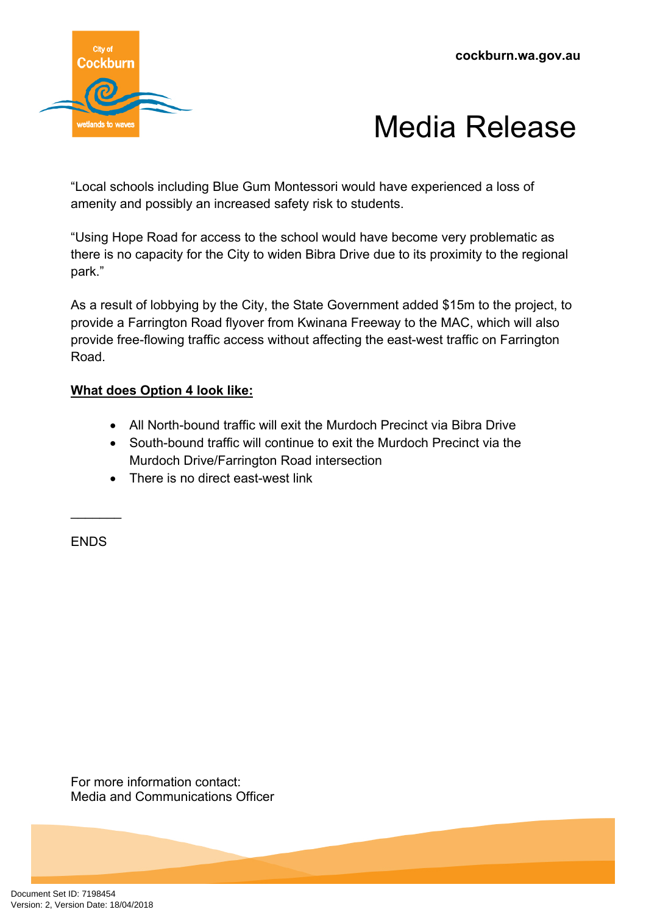



"Local schools including Blue Gum Montessori would have experienced a loss of amenity and possibly an increased safety risk to students.

"Using Hope Road for access to the school would have become very problematic as there is no capacity for the City to widen Bibra Drive due to its proximity to the regional park."

As a result of lobbying by the City, the State Government added \$15m to the project, to provide a Farrington Road flyover from Kwinana Freeway to the MAC, which will also provide free-flowing traffic access without affecting the east-west traffic on Farrington Road.

## **What does Option 4 look like:**

- All North-bound traffic will exit the Murdoch Precinct via Bibra Drive
- South-bound traffic will continue to exit the Murdoch Precinct via the Murdoch Drive/Farrington Road intersection
- There is no direct east-west link

ENDS

 $\frac{1}{2}$ 

For more information contact: Media and Communications Officer